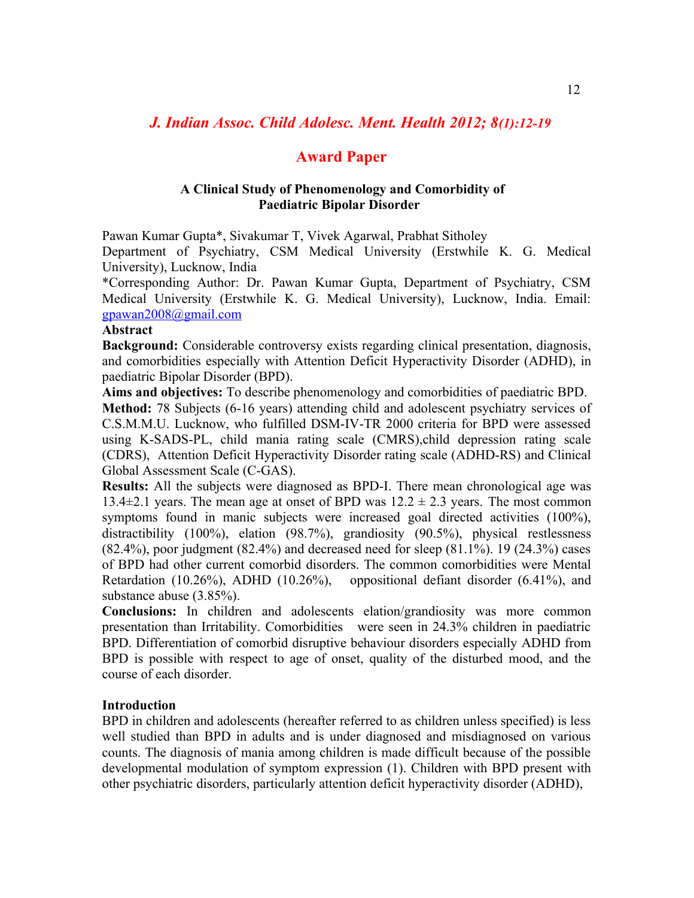# *J. Indian Assoc. Child Adolesc. Ment. Health 2012; 8(1):12-19*

# **Award Paper**

## **A Clinical Study of Phenomenology and Comorbidity of Paediatric Bipolar Disorder**

Pawan Kumar Gupta\*, Sivakumar T, Vivek Agarwal, Prabhat Sitholey

Department of Psychiatry, CSM Medical University (Erstwhile K. G. Medical University), Lucknow, India

\*Corresponding Author: Dr. Pawan Kumar Gupta, Department of Psychiatry, CSM Medical University (Erstwhile K. G. Medical University), Lucknow, India. Email: [gpawan2008@gmail.com](mailto:gpawan2008@gmail.com)

#### **Abstract**

**Background:** Considerable controversy exists regarding clinical presentation, diagnosis, and comorbidities especially with Attention Deficit Hyperactivity Disorder (ADHD), in paediatric Bipolar Disorder (BPD).

**Aims and objectives:** To describe phenomenology and comorbidities of paediatric BPD. **Method:** 78 Subjects (6-16 years) attending child and adolescent psychiatry services of C.S.M.M.U. Lucknow, who fulfilled DSM-IV-TR 2000 criteria for BPD were assessed using K-SADS-PL, child mania rating scale (CMRS),child depression rating scale (CDRS), Attention Deficit Hyperactivity Disorder rating scale (ADHD-RS) and Clinical Global Assessment Scale (C-GAS).

**Results:** All the subjects were diagnosed as BPD-I. There mean chronological age was 13.4 $\pm$ 2.1 years. The mean age at onset of BPD was  $12.2 \pm 2.3$  years. The most common symptoms found in manic subjects were increased goal directed activities (100%), distractibility (100%), elation (98.7%), grandiosity (90.5%), physical restlessness  $(82.4\%)$ , poor judgment  $(82.4\%)$  and decreased need for sleep  $(81.1\%)$ . 19  $(24.3\%)$  cases of BPD had other current comorbid disorders. The common comorbidities were Mental Retardation (10.26%), ADHD (10.26%), oppositional defiant disorder (6.41%), and substance abuse (3.85%).

**Conclusions:** In children and adolescents elation/grandiosity was more common presentation than Irritability. Comorbidities were seen in 24.3% children in paediatric BPD. Differentiation of comorbid disruptive behaviour disorders especially ADHD from BPD is possible with respect to age of onset, quality of the disturbed mood, and the course of each disorder.

#### **Introduction**

BPD in children and adolescents (hereafter referred to as children unless specified) is less well studied than BPD in adults and is under diagnosed and misdiagnosed on various counts. The diagnosis of mania among children is made difficult because of the possible developmental modulation of symptom expression (1). Children with BPD present with other psychiatric disorders, particularly attention deficit hyperactivity disorder (ADHD),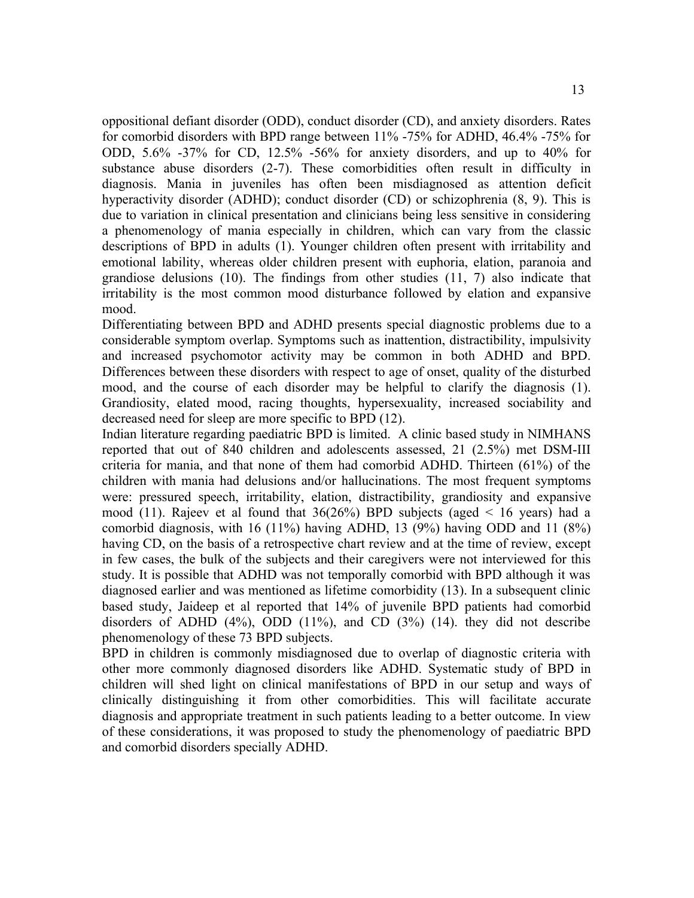oppositional defiant disorder (ODD), conduct disorder (CD), and anxiety disorders. Rates for comorbid disorders with BPD range between 11% -75% for ADHD, 46.4% -75% for ODD, 5.6% -37% for CD, 12.5% -56% for anxiety disorders, and up to 40% for substance abuse disorders (2-7). These comorbidities often result in difficulty in diagnosis. Mania in juveniles has often been misdiagnosed as attention deficit hyperactivity disorder (ADHD); conduct disorder (CD) or schizophrenia (8, 9). This is due to variation in clinical presentation and clinicians being less sensitive in considering a phenomenology of mania especially in children, which can vary from the classic descriptions of BPD in adults (1). Younger children often present with irritability and emotional lability, whereas older children present with euphoria, elation, paranoia and grandiose delusions (10). The findings from other studies (11, 7) also indicate that irritability is the most common mood disturbance followed by elation and expansive mood.

Differentiating between BPD and ADHD presents special diagnostic problems due to a considerable symptom overlap. Symptoms such as inattention, distractibility, impulsivity and increased psychomotor activity may be common in both ADHD and BPD. Differences between these disorders with respect to age of onset, quality of the disturbed mood, and the course of each disorder may be helpful to clarify the diagnosis (1). Grandiosity, elated mood, racing thoughts, hypersexuality, increased sociability and decreased need for sleep are more specific to BPD (12).

Indian literature regarding paediatric BPD is limited. A clinic based study in NIMHANS reported that out of 840 children and adolescents assessed, 21 (2.5%) met DSM-III criteria for mania, and that none of them had comorbid ADHD. Thirteen (61%) of the children with mania had delusions and/or hallucinations. The most frequent symptoms were: pressured speech, irritability, elation, distractibility, grandiosity and expansive mood (11). Rajeev et al found that  $36(26%)$  BPD subjects (aged < 16 years) had a comorbid diagnosis, with 16 (11%) having ADHD, 13 (9%) having ODD and 11 (8%) having CD, on the basis of a retrospective chart review and at the time of review, except in few cases, the bulk of the subjects and their caregivers were not interviewed for this study. It is possible that ADHD was not temporally comorbid with BPD although it was diagnosed earlier and was mentioned as lifetime comorbidity (13). In a subsequent clinic based study, Jaideep et al reported that 14% of juvenile BPD patients had comorbid disorders of ADHD  $(4\%)$ , ODD  $(11\%)$ , and CD  $(3\%)$   $(14)$ . they did not describe phenomenology of these 73 BPD subjects.

BPD in children is commonly misdiagnosed due to overlap of diagnostic criteria with other more commonly diagnosed disorders like ADHD. Systematic study of BPD in children will shed light on clinical manifestations of BPD in our setup and ways of clinically distinguishing it from other comorbidities. This will facilitate accurate diagnosis and appropriate treatment in such patients leading to a better outcome. In view of these considerations, it was proposed to study the phenomenology of paediatric BPD and comorbid disorders specially ADHD.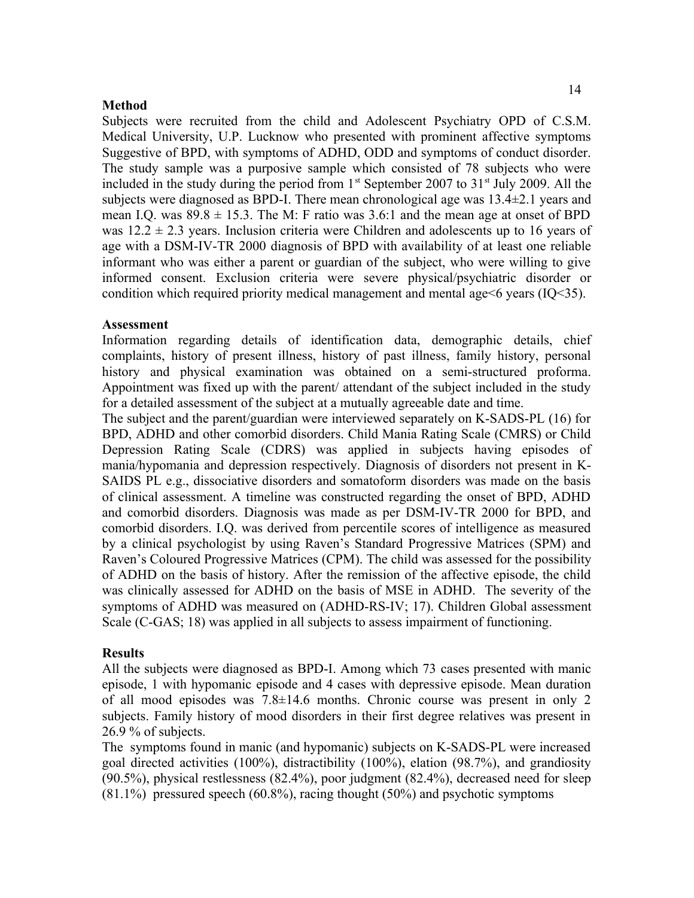#### **Method**

Subjects were recruited from the child and Adolescent Psychiatry OPD of C.S.M. Medical University, U.P. Lucknow who presented with prominent affective symptoms Suggestive of BPD, with symptoms of ADHD, ODD and symptoms of conduct disorder. The study sample was a purposive sample which consisted of 78 subjects who were included in the study during the period from  $1<sup>st</sup>$  September 2007 to 31 $<sup>st</sup>$  July 2009. All the</sup> subjects were diagnosed as BPD-I. There mean chronological age was 13.4±2.1 years and mean I.Q. was  $89.8 \pm 15.3$ . The M: F ratio was 3.6:1 and the mean age at onset of BPD was  $12.2 \pm 2.3$  years. Inclusion criteria were Children and adolescents up to 16 years of age with a DSM-IV-TR 2000 diagnosis of BPD with availability of at least one reliable informant who was either a parent or guardian of the subject, who were willing to give informed consent. Exclusion criteria were severe physical/psychiatric disorder or condition which required priority medical management and mental age<6 years (IQ<35).

#### **Assessment**

Information regarding details of identification data, demographic details, chief complaints, history of present illness, history of past illness, family history, personal history and physical examination was obtained on a semi-structured proforma. Appointment was fixed up with the parent/ attendant of the subject included in the study for a detailed assessment of the subject at a mutually agreeable date and time.

The subject and the parent/guardian were interviewed separately on K-SADS-PL (16) for BPD, ADHD and other comorbid disorders. Child Mania Rating Scale (CMRS) or Child Depression Rating Scale (CDRS) was applied in subjects having episodes of mania/hypomania and depression respectively. Diagnosis of disorders not present in K-SAIDS PL e.g., dissociative disorders and somatoform disorders was made on the basis of clinical assessment. A timeline was constructed regarding the onset of BPD, ADHD and comorbid disorders. Diagnosis was made as per DSM-IV-TR 2000 for BPD, and comorbid disorders. I.Q. was derived from percentile scores of intelligence as measured by a clinical psychologist by using Raven's Standard Progressive Matrices (SPM) and Raven's Coloured Progressive Matrices (CPM). The child was assessed for the possibility of ADHD on the basis of history. After the remission of the affective episode, the child was clinically assessed for ADHD on the basis of MSE in ADHD. The severity of the symptoms of ADHD was measured on (ADHD-RS-IV; 17). Children Global assessment Scale (C-GAS; 18) was applied in all subjects to assess impairment of functioning.

#### **Results**

All the subjects were diagnosed as BPD-I. Among which 73 cases presented with manic episode, 1 with hypomanic episode and 4 cases with depressive episode. Mean duration of all mood episodes was 7.8±14.6 months. Chronic course was present in only 2 subjects. Family history of mood disorders in their first degree relatives was present in 26.9 % of subjects.

The symptoms found in manic (and hypomanic) subjects on K-SADS-PL were increased goal directed activities (100%), distractibility (100%), elation (98.7%), and grandiosity (90.5%), physical restlessness (82.4%), poor judgment (82.4%), decreased need for sleep  $(81.1\%)$  pressured speech  $(60.8\%)$ , racing thought  $(50\%)$  and psychotic symptoms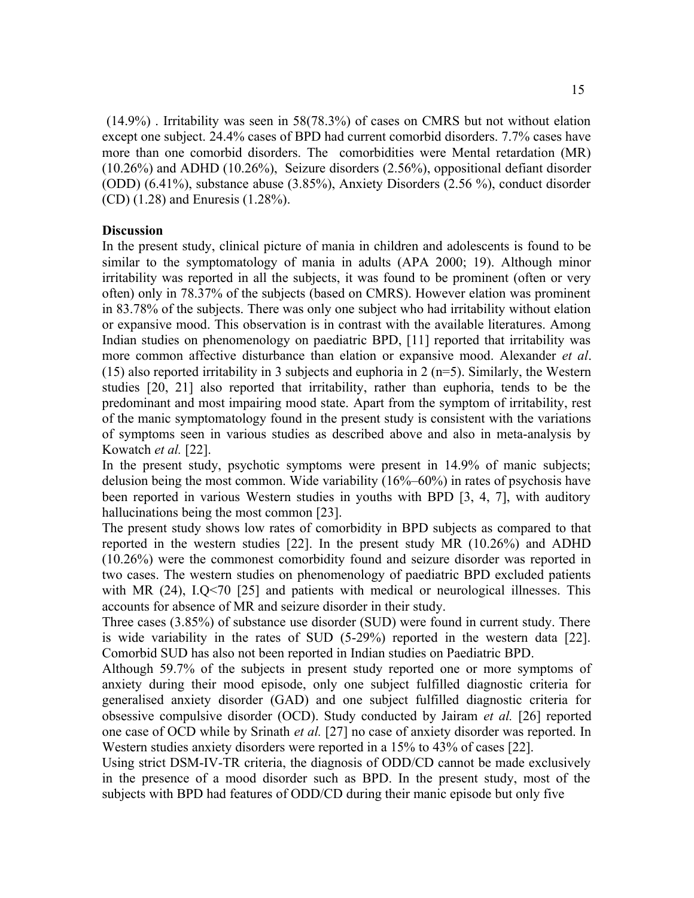15

 (14.9%) . Irritability was seen in 58(78.3%) of cases on CMRS but not without elation except one subject. 24.4% cases of BPD had current comorbid disorders. 7.7% cases have more than one comorbid disorders. The comorbidities were Mental retardation (MR) (10.26%) and ADHD (10.26%), Seizure disorders (2.56%), oppositional defiant disorder (ODD) (6.41%), substance abuse (3.85%), Anxiety Disorders (2.56 %), conduct disorder (CD) (1.28) and Enuresis (1.28%).

### **Discussion**

In the present study, clinical picture of mania in children and adolescents is found to be similar to the symptomatology of mania in adults (APA 2000; 19). Although minor irritability was reported in all the subjects, it was found to be prominent (often or very often) only in 78.37% of the subjects (based on CMRS). However elation was prominent in 83.78% of the subjects. There was only one subject who had irritability without elation or expansive mood. This observation is in contrast with the available literatures. Among Indian studies on phenomenology on paediatric BPD, [11] reported that irritability was more common affective disturbance than elation or expansive mood. Alexander *et al*. (15) also reported irritability in 3 subjects and euphoria in 2 ( $n=5$ ). Similarly, the Western studies [20, 21] also reported that irritability, rather than euphoria, tends to be the predominant and most impairing mood state. Apart from the symptom of irritability, rest of the manic symptomatology found in the present study is consistent with the variations of symptoms seen in various studies as described above and also in meta-analysis by Kowatch *et al.* [22].

In the present study, psychotic symptoms were present in 14.9% of manic subjects; delusion being the most common. Wide variability (16%–60%) in rates of psychosis have been reported in various Western studies in youths with BPD [3, 4, 7], with auditory hallucinations being the most common [23].

The present study shows low rates of comorbidity in BPD subjects as compared to that reported in the western studies [22]. In the present study MR (10.26%) and ADHD (10.26%) were the commonest comorbidity found and seizure disorder was reported in two cases. The western studies on phenomenology of paediatric BPD excluded patients with MR (24), I.Q<70 [25] and patients with medical or neurological illnesses. This accounts for absence of MR and seizure disorder in their study.

Three cases (3.85%) of substance use disorder (SUD) were found in current study. There is wide variability in the rates of SUD (5-29%) reported in the western data [22]. Comorbid SUD has also not been reported in Indian studies on Paediatric BPD.

Although 59.7% of the subjects in present study reported one or more symptoms of anxiety during their mood episode, only one subject fulfilled diagnostic criteria for generalised anxiety disorder (GAD) and one subject fulfilled diagnostic criteria for obsessive compulsive disorder (OCD). Study conducted by Jairam *et al.* [26] reported one case of OCD while by Srinath *et al.* [27] no case of anxiety disorder was reported. In Western studies anxiety disorders were reported in a 15% to 43% of cases [22].

Using strict DSM-IV-TR criteria, the diagnosis of ODD/CD cannot be made exclusively in the presence of a mood disorder such as BPD. In the present study, most of the subjects with BPD had features of ODD/CD during their manic episode but only five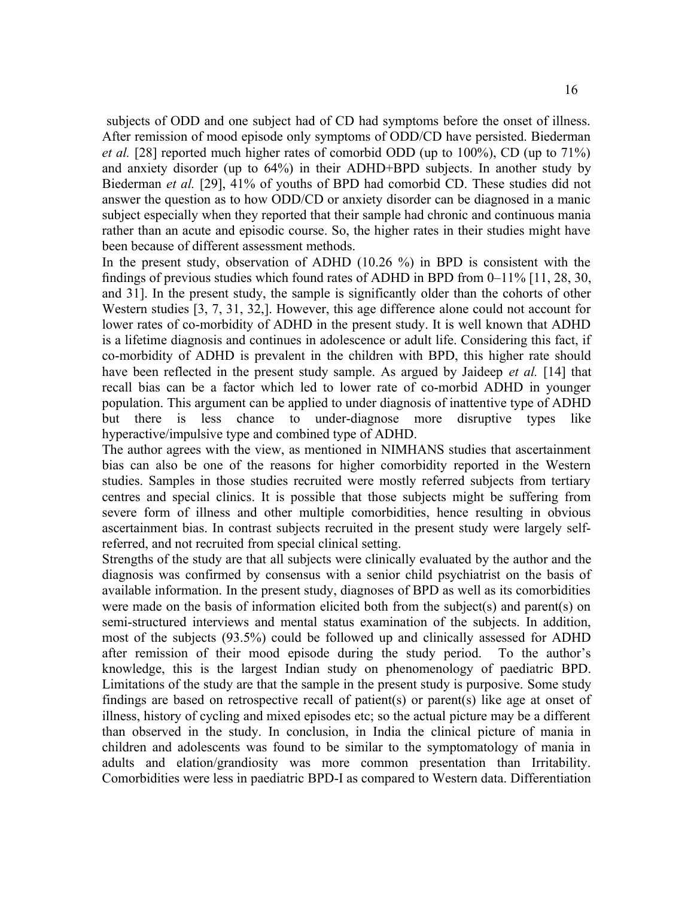subjects of ODD and one subject had of CD had symptoms before the onset of illness. After remission of mood episode only symptoms of ODD/CD have persisted. Biederman *et al.* [28] reported much higher rates of comorbid ODD (up to 100%), CD (up to 71%) and anxiety disorder (up to 64%) in their ADHD+BPD subjects. In another study by Biederman *et al.* [29], 41% of youths of BPD had comorbid CD. These studies did not answer the question as to how ODD/CD or anxiety disorder can be diagnosed in a manic subject especially when they reported that their sample had chronic and continuous mania rather than an acute and episodic course. So, the higher rates in their studies might have been because of different assessment methods.

In the present study, observation of ADHD (10.26 %) in BPD is consistent with the findings of previous studies which found rates of ADHD in BPD from 0–11% [11, 28, 30, and 31]. In the present study, the sample is significantly older than the cohorts of other Western studies [3, 7, 31, 32,]. However, this age difference alone could not account for lower rates of co-morbidity of ADHD in the present study. It is well known that ADHD is a lifetime diagnosis and continues in adolescence or adult life. Considering this fact, if co-morbidity of ADHD is prevalent in the children with BPD, this higher rate should have been reflected in the present study sample. As argued by Jaideep *et al.* [14] that recall bias can be a factor which led to lower rate of co-morbid ADHD in younger population. This argument can be applied to under diagnosis of inattentive type of ADHD but there is less chance to under-diagnose more disruptive types like hyperactive/impulsive type and combined type of ADHD.

The author agrees with the view, as mentioned in NIMHANS studies that ascertainment bias can also be one of the reasons for higher comorbidity reported in the Western studies. Samples in those studies recruited were mostly referred subjects from tertiary centres and special clinics. It is possible that those subjects might be suffering from severe form of illness and other multiple comorbidities, hence resulting in obvious ascertainment bias. In contrast subjects recruited in the present study were largely selfreferred, and not recruited from special clinical setting.

Strengths of the study are that all subjects were clinically evaluated by the author and the diagnosis was confirmed by consensus with a senior child psychiatrist on the basis of available information. In the present study, diagnoses of BPD as well as its comorbidities were made on the basis of information elicited both from the subject(s) and parent(s) on semi-structured interviews and mental status examination of the subjects. In addition, most of the subjects (93.5%) could be followed up and clinically assessed for ADHD after remission of their mood episode during the study period. To the author's knowledge, this is the largest Indian study on phenomenology of paediatric BPD. Limitations of the study are that the sample in the present study is purposive. Some study findings are based on retrospective recall of patient(s) or parent(s) like age at onset of illness, history of cycling and mixed episodes etc; so the actual picture may be a different than observed in the study. In conclusion, in India the clinical picture of mania in children and adolescents was found to be similar to the symptomatology of mania in adults and elation/grandiosity was more common presentation than Irritability. Comorbidities were less in paediatric BPD-I as compared to Western data. Differentiation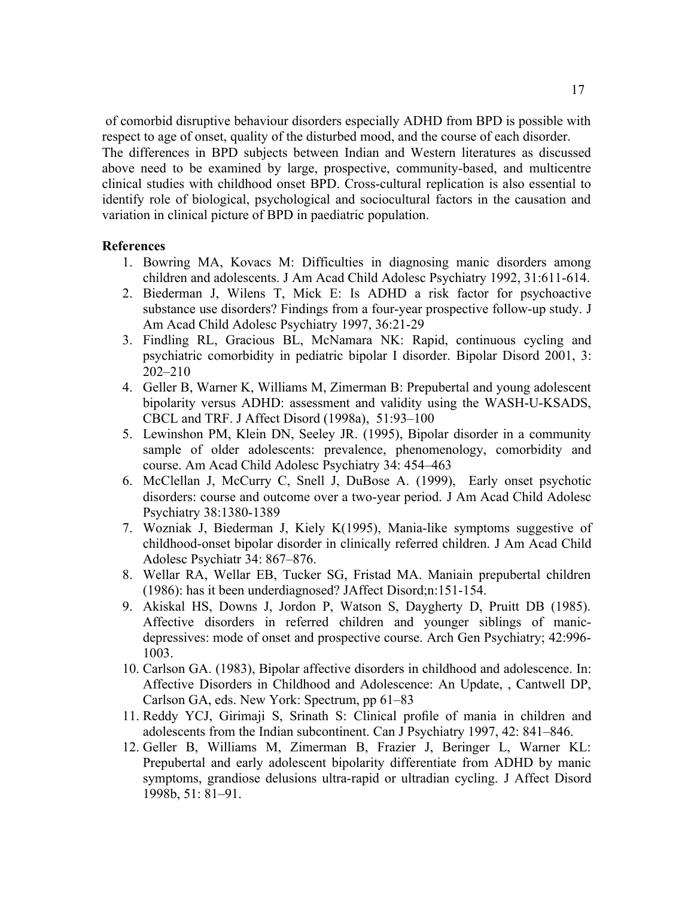of comorbid disruptive behaviour disorders especially ADHD from BPD is possible with respect to age of onset, quality of the disturbed mood, and the course of each disorder. The differences in BPD subjects between Indian and Western literatures as discussed above need to be examined by large, prospective, community-based, and multicentre clinical studies with childhood onset BPD. Cross-cultural replication is also essential to identify role of biological, psychological and sociocultural factors in the causation and variation in clinical picture of BPD in paediatric population.

#### **References**

- 1. Bowring MA, Kovacs M: Difficulties in diagnosing manic disorders among children and adolescents. J Am Acad Child Adolesc Psychiatry 1992, 31:611-614.
- 2. Biederman J, Wilens T, Mick E: Is ADHD a risk factor for psychoactive substance use disorders? Findings from a four-year prospective follow-up study. J Am Acad Child Adolesc Psychiatry 1997, 36:21-29
- 3. Findling RL, Gracious BL, McNamara NK: Rapid, continuous cycling and psychiatric comorbidity in pediatric bipolar I disorder. Bipolar Disord 2001, 3: 202–210
- 4. Geller B, Warner K, Williams M, Zimerman B: Prepubertal and young adolescent bipolarity versus ADHD: assessment and validity using the WASH-U-KSADS, CBCL and TRF. J Affect Disord (1998a), 51:93–100
- 5. Lewinshon PM, Klein DN, Seeley JR. (1995), Bipolar disorder in a community sample of older adolescents: prevalence, phenomenology, comorbidity and course. Am Acad Child Adolesc Psychiatry 34: 454–463
- 6. McClellan J, McCurry C, Snell J, DuBose A. (1999), Early onset psychotic disorders: course and outcome over a two-year period. J Am Acad Child Adolesc Psychiatry 38:1380-1389
- 7. Wozniak J, Biederman J, Kiely K(1995), Mania-like symptoms suggestive of childhood-onset bipolar disorder in clinically referred children. J Am Acad Child Adolesc Psychiatr 34: 867–876.
- 8. Wellar RA, Wellar EB, Tucker SG, Fristad MA. Maniain prepubertal children (1986): has it been underdiagnosed? JAffect Disord;n:151-154.
- 9. Akiskal HS, Downs J, Jordon P, Watson S, Daygherty D, Pruitt DB (1985). Affective disorders in referred children and younger siblings of manicdepressives: mode of onset and prospective course. Arch Gen Psychiatry; 42:996- 1003.
- 10. Carlson GA. (1983), Bipolar affective disorders in childhood and adolescence. In: Affective Disorders in Childhood and Adolescence: An Update, , Cantwell DP, Carlson GA, eds. New York: Spectrum, pp 61–83
- 11. Reddy YCJ, Girimaji S, Srinath S: Clinical profile of mania in children and adolescents from the Indian subcontinent. Can J Psychiatry 1997, 42: 841–846.
- 12. Geller B, Williams M, Zimerman B, Frazier J, Beringer L, Warner KL: Prepubertal and early adolescent bipolarity differentiate from ADHD by manic symptoms, grandiose delusions ultra-rapid or ultradian cycling. J Affect Disord 1998b, 51: 81–91.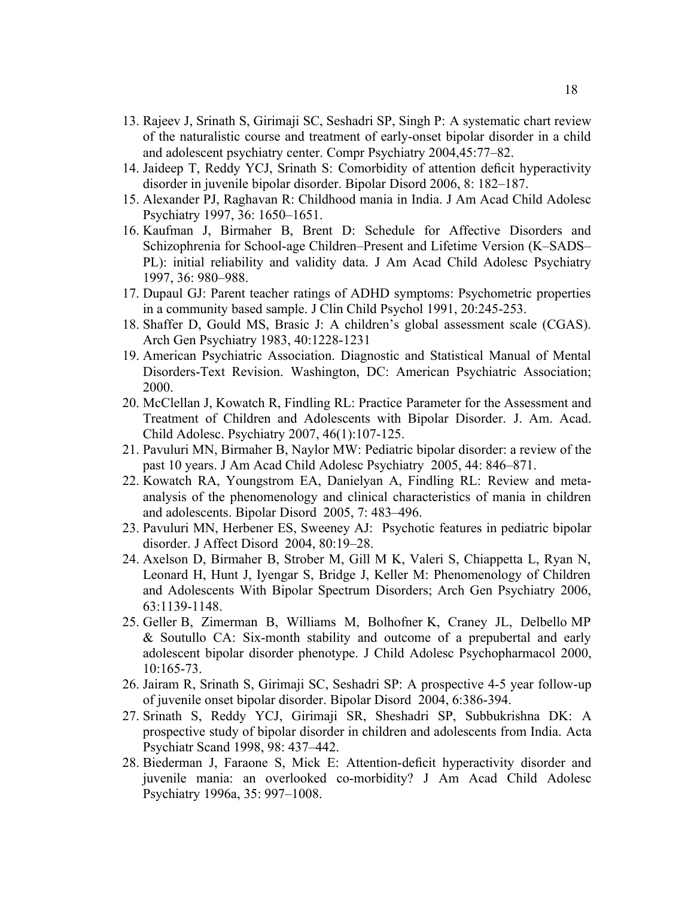- 13. Rajeev J, Srinath S, Girimaji SC, Seshadri SP, Singh P: A systematic chart review of the naturalistic course and treatment of early-onset bipolar disorder in a child and adolescent psychiatry center. Compr Psychiatry 2004,45:77–82.
- 14. Jaideep T, Reddy YCJ, Srinath S: Comorbidity of attention deficit hyperactivity disorder in juvenile bipolar disorder. Bipolar Disord 2006, 8: 182–187.
- 15. Alexander PJ, Raghavan R: Childhood mania in India. J Am Acad Child Adolesc Psychiatry 1997, 36: 1650–1651.
- 16. Kaufman J, Birmaher B, Brent D: Schedule for Affective Disorders and Schizophrenia for School-age Children–Present and Lifetime Version (K–SADS– PL): initial reliability and validity data. J Am Acad Child Adolesc Psychiatry 1997, 36: 980–988.
- 17. Dupaul GJ: Parent teacher ratings of ADHD symptoms: Psychometric properties in a community based sample. J Clin Child Psychol 1991, 20:245-253.
- 18. Shaffer D, Gould MS, Brasic J: A children's global assessment scale (CGAS). Arch Gen Psychiatry 1983, 40:1228-1231
- 19. American Psychiatric Association. Diagnostic and Statistical Manual of Mental Disorders-Text Revision. Washington, DC: American Psychiatric Association; 2000.
- 20. McClellan J, Kowatch R, Findling RL: Practice Parameter for the Assessment and Treatment of Children and Adolescents with Bipolar Disorder. J. Am. Acad. Child Adolesc. Psychiatry 2007, 46(1):107-125.
- 21. Pavuluri MN, Birmaher B, Naylor MW: Pediatric bipolar disorder: a review of the past 10 years. J Am Acad Child Adolesc Psychiatry 2005, 44: 846–871.
- 22. Kowatch RA, Youngstrom EA, Danielyan A, Findling RL: Review and metaanalysis of the phenomenology and clinical characteristics of mania in children and adolescents. Bipolar Disord 2005, 7: 483–496.
- 23. Pavuluri MN, Herbener ES, Sweeney AJ: Psychotic features in pediatric bipolar disorder. J Affect Disord 2004, 80:19–28.
- 24. Axelson D, Birmaher B, Strober M, Gill M K, Valeri S, Chiappetta L, Ryan N, Leonard H, Hunt J, Iyengar S, Bridge J, Keller M: Phenomenology of Children and Adolescents With Bipolar Spectrum Disorders; Arch Gen Psychiatry 2006, 63:1139-1148.
- 25. Geller B, Zimerman B, Williams M, Bolhofner K, Craney JL, Delbello MP & Soutullo CA: Six-month stability and outcome of a prepubertal and early adolescent bipolar disorder phenotype. J Child Adolesc Psychopharmacol 2000, 10:165-73.
- 26. Jairam R, Srinath S, Girimaji SC, Seshadri SP: A prospective 4-5 year follow-up of juvenile onset bipolar disorder. Bipolar Disord 2004, 6:386-394.
- 27. Srinath S, Reddy YCJ, Girimaji SR, Sheshadri SP, Subbukrishna DK: A prospective study of bipolar disorder in children and adolescents from India. Acta Psychiatr Scand 1998, 98: 437–442.
- 28. Biederman J, Faraone S, Mick E: Attention-deficit hyperactivity disorder and juvenile mania: an overlooked co-morbidity? J Am Acad Child Adolesc Psychiatry 1996a, 35: 997–1008.